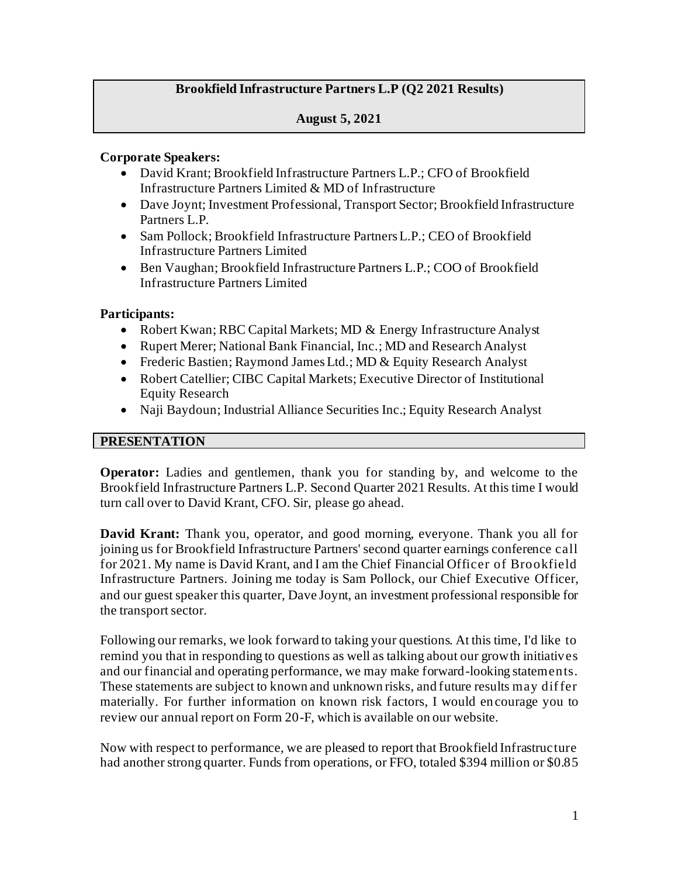# **Brookfield Infrastructure Partners L.P (Q2 2021 Results)**

### **August 5, 2021**

#### **Corporate Speakers:**

- David Krant; Brookfield Infrastructure Partners L.P.; CFO of Brookfield Infrastructure Partners Limited & MD of Infrastructure
- Dave Joynt; Investment Professional, Transport Sector; Brookfield Infrastructure Partners L.P.
- Sam Pollock; Brookfield Infrastructure Partners L.P.; CEO of Brookfield Infrastructure Partners Limited
- Ben Vaughan; Brookfield Infrastructure Partners L.P.; COO of Brookfield Infrastructure Partners Limited

#### **Participants:**

- Robert Kwan; RBC Capital Markets; MD & Energy Infrastructure Analyst
- Rupert Merer; National Bank Financial, Inc.; MD and Research Analyst
- Frederic Bastien; Raymond James Ltd.; MD & Equity Research Analyst
- Robert Catellier; CIBC Capital Markets; Executive Director of Institutional Equity Research
- Naji Baydoun; Industrial Alliance Securities Inc.; Equity Research Analyst

## **PRESENTATION**

**Operator:** Ladies and gentlemen, thank you for standing by, and welcome to the Brookfield Infrastructure Partners L.P. Second Quarter 2021 Results. At this time I would turn call over to David Krant, CFO. Sir, please go ahead.

**David Krant:** Thank you, operator, and good morning, everyone. Thank you all for joining us for Brookfield Infrastructure Partners' second quarter earnings conference call for 2021. My name is David Krant, and I am the Chief Financial Officer of Brookfield Infrastructure Partners. Joining me today is Sam Pollock, our Chief Executive Officer, and our guest speaker this quarter, Dave Joynt, an investment professional responsible for the transport sector.

Following our remarks, we look forward to taking your questions. At this time, I'd like to remind you that in responding to questions as well as talking about our growth initiatives and our financial and operating performance, we may make forward-looking statements. These statements are subject to known and unknown risks, and future results may dif fer materially. For further information on known risk factors, I would encourage you to review our annual report on Form 20-F, which is available on our website.

Now with respect to performance, we are pleased to report that Brookfield Infrastructure had another strong quarter. Funds from operations, or FFO, totaled \$394 million or \$0.85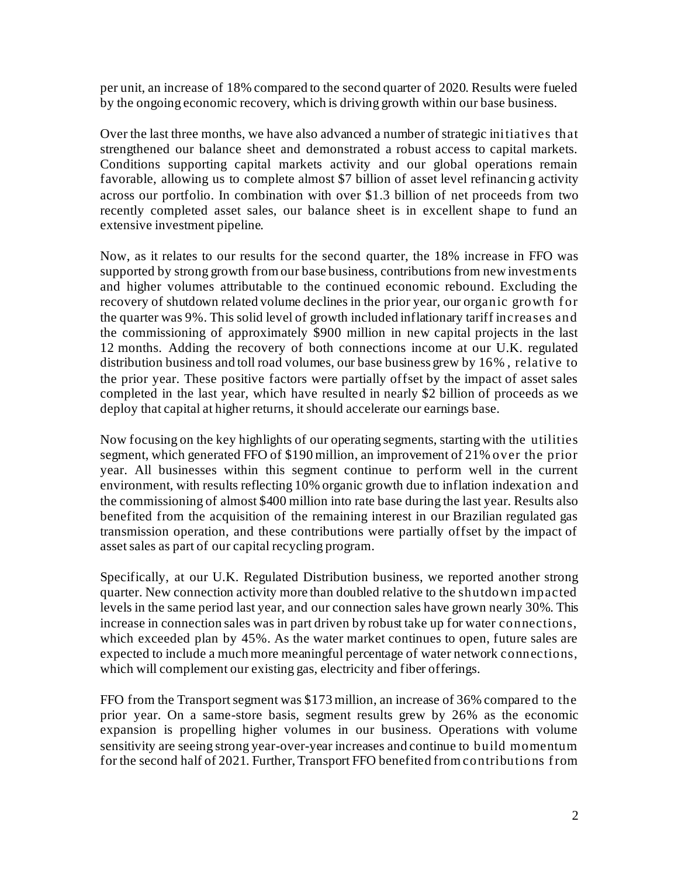per unit, an increase of 18% compared to the second quarter of 2020. Results were fueled by the ongoing economic recovery, which is driving growth within our base business.

Over the last three months, we have also advanced a number of strategic initiatives that strengthened our balance sheet and demonstrated a robust access to capital markets. Conditions supporting capital markets activity and our global operations remain favorable, allowing us to complete almost \$7 billion of asset level refinancin g activity across our portfolio. In combination with over \$1.3 billion of net proceeds from two recently completed asset sales, our balance sheet is in excellent shape to fund an extensive investment pipeline.

Now, as it relates to our results for the second quarter, the 18% increase in FFO was supported by strong growth from our base business, contributions from new investments and higher volumes attributable to the continued economic rebound. Excluding the recovery of shutdown related volume declines in the prior year, our organic growth for the quarter was 9%. This solid level of growth included inflationary tariff increases and the commissioning of approximately \$900 million in new capital projects in the last 12 months. Adding the recovery of both connections income at our U.K. regulated distribution business and toll road volumes, our base business grew by 16% , relative to the prior year. These positive factors were partially offset by the impact of asset sales completed in the last year, which have resulted in nearly \$2 billion of proceeds as we deploy that capital at higher returns, it should accelerate our earnings base.

Now focusing on the key highlights of our operating segments, starting with the utilities segment, which generated FFO of \$190 million, an improvement of 21% over the prior year. All businesses within this segment continue to perform well in the current environment, with results reflecting 10% organic growth due to inflation indexation and the commissioning of almost \$400 million into rate base during the last year. Results also benefited from the acquisition of the remaining interest in our Brazilian regulated gas transmission operation, and these contributions were partially offset by the impact of asset sales as part of our capital recycling program.

Specifically, at our U.K. Regulated Distribution business, we reported another strong quarter. New connection activity more than doubled relative to the shutdown impacted levels in the same period last year, and our connection sales have grown nearly 30%. This increase in connection sales was in part driven by robust take up for water connections, which exceeded plan by 45%. As the water market continues to open, future sales are expected to include a much more meaningful percentage of water network connections, which will complement our existing gas, electricity and fiber offerings.

FFO from the Transport segment was \$173 million, an increase of 36% compared to the prior year. On a same-store basis, segment results grew by 26% as the economic expansion is propelling higher volumes in our business. Operations with volume sensitivity are seeing strong year-over-year increases and continue to build momentum for the second half of 2021. Further, Transport FFO benefited from contributions f rom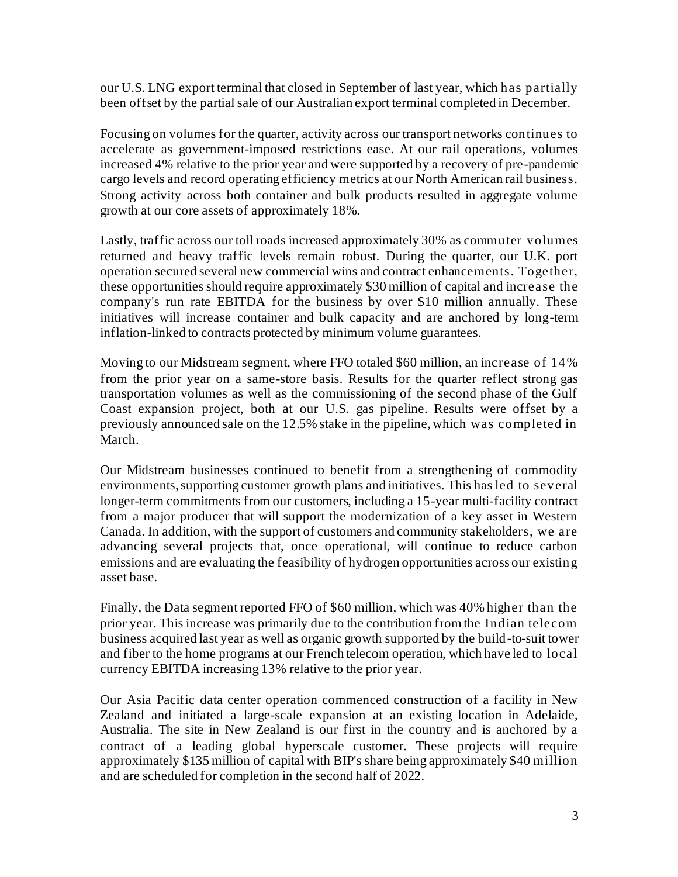our U.S. LNG export terminal that closed in September of last year, which has partially been offset by the partial sale of our Australian export terminal completed in December.

Focusing on volumes for the quarter, activity across our transport networks continues to accelerate as government-imposed restrictions ease. At our rail operations, volumes increased 4% relative to the prior year and were supported by a recovery of pre-pandemic cargo levels and record operating efficiency metrics at our North American rail business. Strong activity across both container and bulk products resulted in aggregate volume growth at our core assets of approximately 18%.

Lastly, traffic across our toll roads increased approximately 30% as commuter volumes returned and heavy traffic levels remain robust. During the quarter, our U.K. port operation secured several new commercial wins and contract enhancements. Together, these opportunities should require approximately \$30 million of capital and increase the company's run rate EBITDA for the business by over \$10 million annually. These initiatives will increase container and bulk capacity and are anchored by long-term inflation-linked to contracts protected by minimum volume guarantees.

Moving to our Midstream segment, where FFO totaled \$60 million, an increase of 14% from the prior year on a same-store basis. Results for the quarter reflect strong gas transportation volumes as well as the commissioning of the second phase of the Gulf Coast expansion project, both at our U.S. gas pipeline. Results were offset by a previously announced sale on the 12.5% stake in the pipeline, which was completed in March.

Our Midstream businesses continued to benefit from a strengthening of commodity environments, supporting customer growth plans and initiatives. This has led to several longer-term commitments from our customers, including a 15-year multi-facility contract from a major producer that will support the modernization of a key asset in Western Canada. In addition, with the support of customers and community stakeholders, we are advancing several projects that, once operational, will continue to reduce carbon emissions and are evaluating the feasibility of hydrogen opportunities across our existing asset base.

Finally, the Data segment reported FFO of \$60 million, which was 40% higher than the prior year. This increase was primarily due to the contribution from the Indian telecom business acquired last year as well as organic growth supported by the build-to-suit tower and fiber to the home programs at our French telecom operation, which have led to local currency EBITDA increasing 13% relative to the prior year.

Our Asia Pacific data center operation commenced construction of a facility in New Zealand and initiated a large-scale expansion at an existing location in Adelaide, Australia. The site in New Zealand is our first in the country and is anchored by a contract of a leading global hyperscale customer. These projects will require approximately \$135 million of capital with BIP's share being approximately \$40 million and are scheduled for completion in the second half of 2022.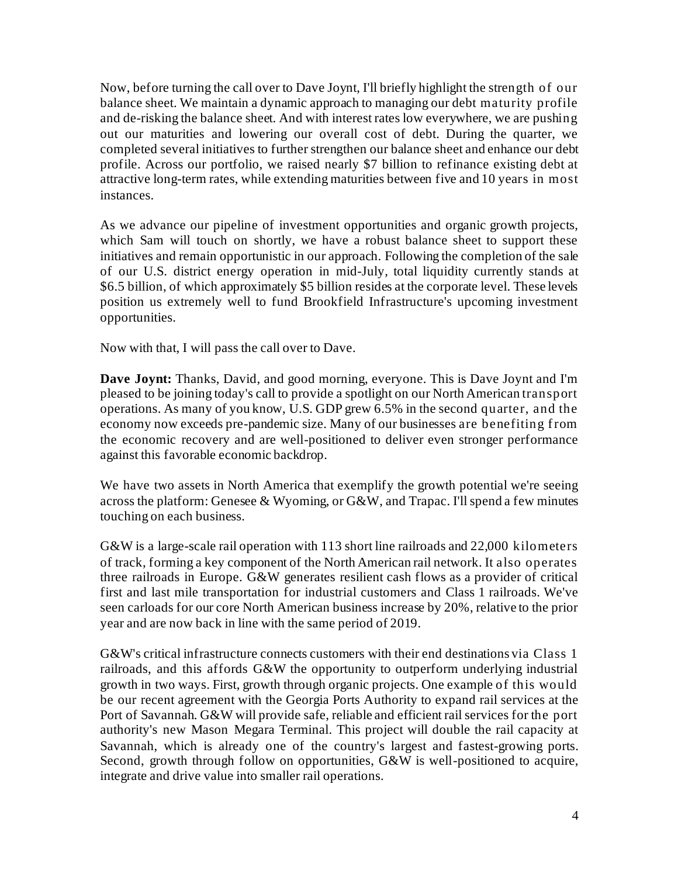Now, before turning the call over to Dave Joynt, I'll briefly highlight the strength of our balance sheet. We maintain a dynamic approach to managing our debt maturity profile and de-risking the balance sheet. And with interest rates low everywhere, we are pushing out our maturities and lowering our overall cost of debt. During the quarter, we completed several initiatives to further strengthen our balance sheet and enhance our debt profile. Across our portfolio, we raised nearly \$7 billion to refinance existing debt at attractive long-term rates, while extending maturities between five and 10 years in most instances.

As we advance our pipeline of investment opportunities and organic growth projects, which Sam will touch on shortly, we have a robust balance sheet to support these initiatives and remain opportunistic in our approach. Following the completion of the sale of our U.S. district energy operation in mid-July, total liquidity currently stands at \$6.5 billion, of which approximately \$5 billion resides at the corporate level. These levels position us extremely well to fund Brookfield Infrastructure's upcoming investment opportunities.

Now with that, I will pass the call over to Dave.

**Dave Joynt:** Thanks, David, and good morning, everyone. This is Dave Joynt and I'm pleased to be joining today's call to provide a spotlight on our North American transport operations. As many of you know, U.S. GDP grew 6.5% in the second quarter, and the economy now exceeds pre-pandemic size. Many of our businesses are benefiting from the economic recovery and are well-positioned to deliver even stronger performance against this favorable economic backdrop.

We have two assets in North America that exemplify the growth potential we're seeing across the platform: Genesee & Wyoming, or G&W, and Trapac. I'll spend a few minutes touching on each business.

G&W is a large-scale rail operation with 113 short line railroads and 22,000 kilometers of track, forming a key component of the North American rail network. It also operates three railroads in Europe. G&W generates resilient cash flows as a provider of critical first and last mile transportation for industrial customers and Class 1 railroads. We've seen carloads for our core North American business increase by 20%, relative to the prior year and are now back in line with the same period of 2019.

G&W's critical infrastructure connects customers with their end destinations via Class 1 railroads, and this affords G&W the opportunity to outperform underlying industrial growth in two ways. First, growth through organic projects. One example of this would be our recent agreement with the Georgia Ports Authority to expand rail services at the Port of Savannah. G&W will provide safe, reliable and efficient rail services for the port authority's new Mason Megara Terminal. This project will double the rail capacity at Savannah, which is already one of the country's largest and fastest-growing ports. Second, growth through follow on opportunities, G&W is well-positioned to acquire, integrate and drive value into smaller rail operations.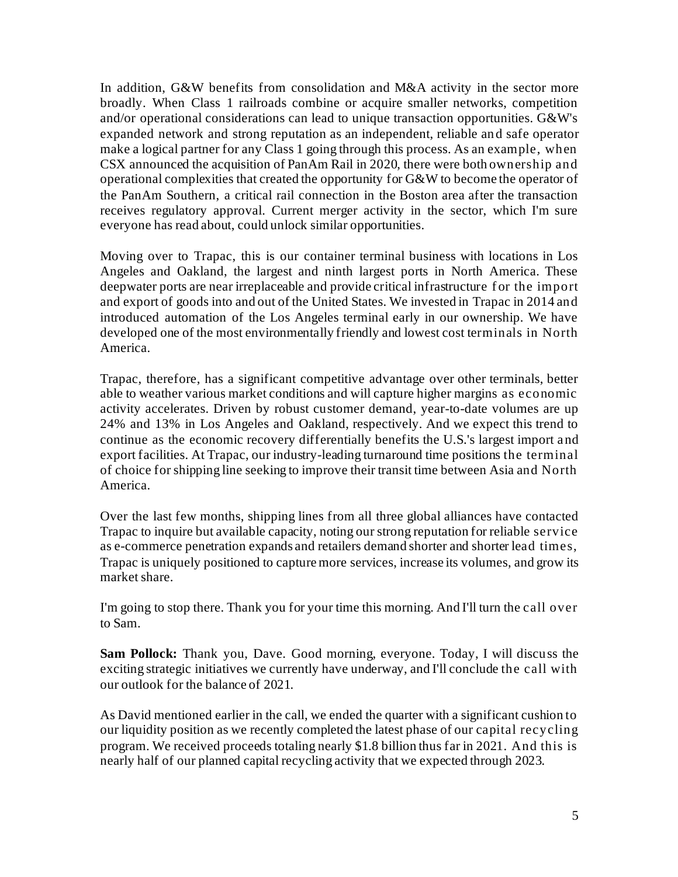In addition, G&W benefits from consolidation and M&A activity in the sector more broadly. When Class 1 railroads combine or acquire smaller networks, competition and/or operational considerations can lead to unique transaction opportunities. G&W's expanded network and strong reputation as an independent, reliable and safe operator make a logical partner for any Class 1 going through this process. As an example, when CSX announced the acquisition of PanAm Rail in 2020, there were both ownership and operational complexities that created the opportunity for G&W to become the operator of the PanAm Southern, a critical rail connection in the Boston area after the transaction receives regulatory approval. Current merger activity in the sector, which I'm sure everyone has read about, could unlock similar opportunities.

Moving over to Trapac, this is our container terminal business with locations in Los Angeles and Oakland, the largest and ninth largest ports in North America. These deepwater ports are near irreplaceable and provide critical infrastructure f or the import and export of goods into and out of the United States. We invested in Trapac in 2014 and introduced automation of the Los Angeles terminal early in our ownership. We have developed one of the most environmentally friendly and lowest cost terminals in North America.

Trapac, therefore, has a significant competitive advantage over other terminals, better able to weather various market conditions and will capture higher margins as economic activity accelerates. Driven by robust customer demand, year-to-date volumes are up 24% and 13% in Los Angeles and Oakland, respectively. And we expect this trend to continue as the economic recovery differentially benefits the U.S.'s largest import and export facilities. At Trapac, our industry-leading turnaround time positions the terminal of choice for shipping line seeking to improve their transit time between Asia and North America.

Over the last few months, shipping lines from all three global alliances have contacted Trapac to inquire but available capacity, noting our strong reputation for reliable service as e-commerce penetration expands and retailers demand shorter and shorter lead times, Trapac is uniquely positioned to capture more services, increase its volumes, and grow its market share.

I'm going to stop there. Thank you for your time this morning. And I'll turn the call over to Sam.

**Sam Pollock:** Thank you, Dave. Good morning, everyone. Today, I will discuss the exciting strategic initiatives we currently have underway, and I'll conclude the call with our outlook for the balance of 2021.

As David mentioned earlier in the call, we ended the quarter with a significant cushion to our liquidity position as we recently completed the latest phase of our capital recycling program. We received proceeds totaling nearly \$1.8 billion thus far in 2021. And this is nearly half of our planned capital recycling activity that we expected through 2023.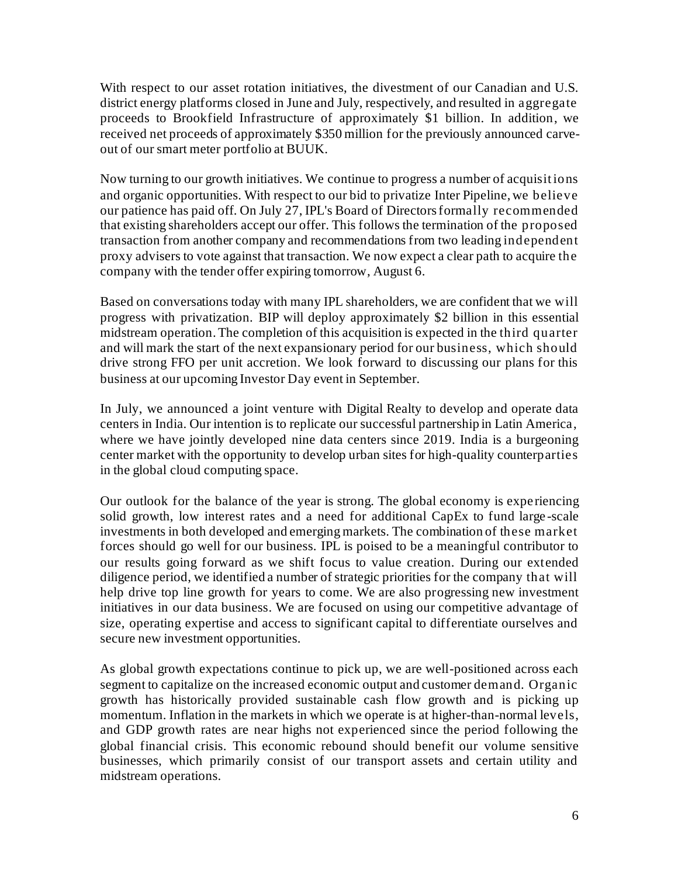With respect to our asset rotation initiatives, the divestment of our Canadian and U.S. district energy platforms closed in June and July, respectively, and resulted in aggregate proceeds to Brookfield Infrastructure of approximately \$1 billion. In addition, we received net proceeds of approximately \$350 million for the previously announced carveout of our smart meter portfolio at BUUK.

Now turning to our growth initiatives. We continue to progress a number of acquisit ions and organic opportunities. With respect to our bid to privatize Inter Pipeline, we believe our patience has paid off. On July 27, IPL's Board of Directors formally recommended that existing shareholders accept our offer. This follows the termination of the proposed transaction from another company and recommendations from two leading independent proxy advisers to vote against that transaction. We now expect a clear path to acquire the company with the tender offer expiring tomorrow, August 6.

Based on conversations today with many IPL shareholders, we are confident that we will progress with privatization. BIP will deploy approximately \$2 billion in this essential midstream operation. The completion of this acquisition is expected in the third quarter and will mark the start of the next expansionary period for our business, which should drive strong FFO per unit accretion. We look forward to discussing our plans for this business at our upcoming Investor Day event in September.

In July, we announced a joint venture with Digital Realty to develop and operate data centers in India. Our intention is to replicate our successful partnership in Latin America, where we have jointly developed nine data centers since 2019. India is a burgeoning center market with the opportunity to develop urban sites for high-quality counterparties in the global cloud computing space.

Our outlook for the balance of the year is strong. The global economy is expe riencing solid growth, low interest rates and a need for additional CapEx to fund large -scale investments in both developed and emerging markets. The combination of these market forces should go well for our business. IPL is poised to be a meaningful contributor to our results going forward as we shift focus to value creation. During our extended diligence period, we identified a number of strategic priorities for the company that will help drive top line growth for years to come. We are also progressing new investment initiatives in our data business. We are focused on using our competitive advantage of size, operating expertise and access to significant capital to differentiate ourselves and secure new investment opportunities.

As global growth expectations continue to pick up, we are well-positioned across each segment to capitalize on the increased economic output and customer demand. Organic growth has historically provided sustainable cash flow growth and is picking up momentum. Inflation in the markets in which we operate is at higher-than-normal levels, and GDP growth rates are near highs not experienced since the period following the global financial crisis. This economic rebound should benefit our volume sensitive businesses, which primarily consist of our transport assets and certain utility and midstream operations.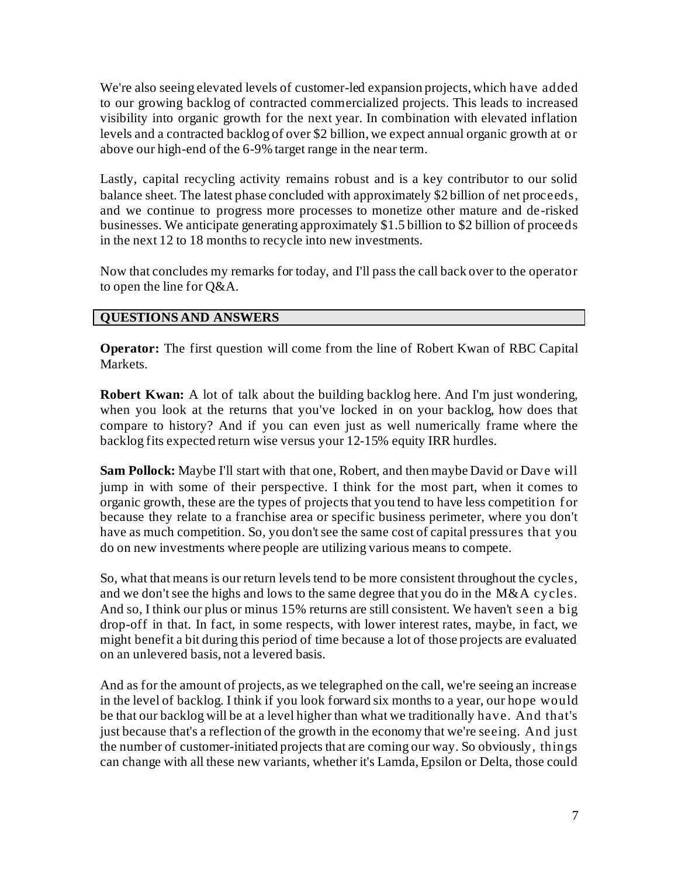We're also seeing elevated levels of customer-led expansion projects, which have added to our growing backlog of contracted commercialized projects. This leads to increased visibility into organic growth for the next year. In combination with elevated inflation levels and a contracted backlog of over \$2 billion, we expect annual organic growth at or above our high-end of the 6-9% target range in the near term.

Lastly, capital recycling activity remains robust and is a key contributor to our solid balance sheet. The latest phase concluded with approximately \$2 billion of net proceeds, and we continue to progress more processes to monetize other mature and de-risked businesses. We anticipate generating approximately \$1.5 billion to \$2 billion of proceeds in the next 12 to 18 months to recycle into new investments.

Now that concludes my remarks for today, and I'll pass the call back over to the operator to open the line for Q&A.

## **QUESTIONS AND ANSWERS**

**Operator:** The first question will come from the line of Robert Kwan of RBC Capital Markets.

**Robert Kwan:** A lot of talk about the building backlog here. And I'm just wondering, when you look at the returns that you've locked in on your backlog, how does that compare to history? And if you can even just as well numerically frame where the backlog fits expected return wise versus your 12-15% equity IRR hurdles.

**Sam Pollock:** Maybe I'll start with that one, Robert, and then maybe David or Dave will jump in with some of their perspective. I think for the most part, when it comes to organic growth, these are the types of projects that you tend to have less competition f or because they relate to a franchise area or specific business perimeter, where you don't have as much competition. So, you don't see the same cost of capital pressures that you do on new investments where people are utilizing various means to compete.

So, what that means is our return levels tend to be more consistent throughout the cycles, and we don't see the highs and lows to the same degree that you do in the M&A cycles. And so, I think our plus or minus 15% returns are still consistent. We haven't seen a big drop-off in that. In fact, in some respects, with lower interest rates, maybe, in fact, we might benefit a bit during this period of time because a lot of those projects are evaluated on an unlevered basis, not a levered basis.

And as for the amount of projects, as we telegraphed on the call, we're seeing an increase in the level of backlog. I think if you look forward six months to a year, our hope would be that our backlog will be at a level higher than what we traditionally have. And that's just because that's a reflection of the growth in the economy that we're seeing. And just the number of customer-initiated projects that are coming our way. So obviously, things can change with all these new variants, whether it's Lamda, Epsilon or Delta, those could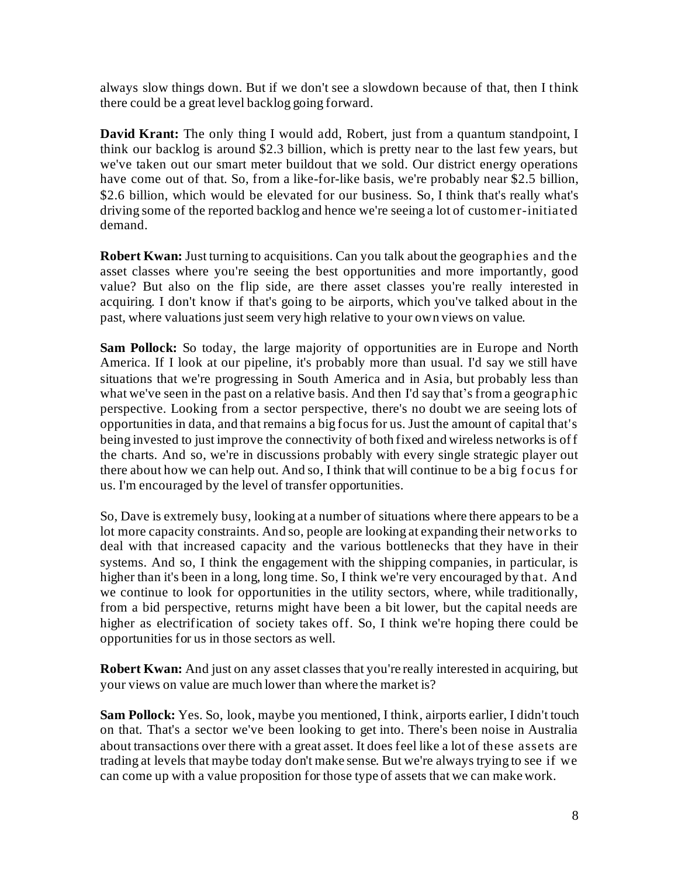always slow things down. But if we don't see a slowdown because of that, then I think there could be a great level backlog going forward.

**David Krant:** The only thing I would add, Robert, just from a quantum standpoint, I think our backlog is around \$2.3 billion, which is pretty near to the last few years, but we've taken out our smart meter buildout that we sold. Our district energy operations have come out of that. So, from a like-for-like basis, we're probably near \$2.5 billion, \$2.6 billion, which would be elevated for our business. So, I think that's really what's driving some of the reported backlog and hence we're seeing a lot of customer-initiated demand.

**Robert Kwan:** Just turning to acquisitions. Can you talk about the geographies and the asset classes where you're seeing the best opportunities and more importantly, good value? But also on the flip side, are there asset classes you're really interested in acquiring. I don't know if that's going to be airports, which you've talked about in the past, where valuations just seem very high relative to your own views on value.

**Sam Pollock:** So today, the large majority of opportunities are in Europe and North America. If I look at our pipeline, it's probably more than usual. I'd say we still have situations that we're progressing in South America and in Asia, but probably less than what we've seen in the past on a relative basis. And then I'd say that's from a geographic perspective. Looking from a sector perspective, there's no doubt we are seeing lots of opportunities in data, and that remains a big focus for us. Just the amount of capital that's being invested to just improve the connectivity of both fixed and wireless networks is of f the charts. And so, we're in discussions probably with every single strategic player out there about how we can help out. And so, I think that will continue to be a big focus for us. I'm encouraged by the level of transfer opportunities.

So, Dave is extremely busy, looking at a number of situations where there appears to be a lot more capacity constraints. And so, people are looking at expanding their networks to deal with that increased capacity and the various bottlenecks that they have in their systems. And so, I think the engagement with the shipping companies, in particular, is higher than it's been in a long, long time. So, I think we're very encouraged by that. And we continue to look for opportunities in the utility sectors, where, while traditionally, from a bid perspective, returns might have been a bit lower, but the capital needs are higher as electrification of society takes off. So, I think we're hoping there could be opportunities for us in those sectors as well.

**Robert Kwan:** And just on any asset classes that you're really interested in acquiring, but your views on value are much lower than where the market is?

**Sam Pollock:** Yes. So, look, maybe you mentioned, I think, airports earlier, I didn't touch on that. That's a sector we've been looking to get into. There's been noise in Australia about transactions over there with a great asset. It does feel like a lot of these assets are trading at levels that maybe today don't make sense. But we're always trying to see if we can come up with a value proposition for those type of assets that we can make work.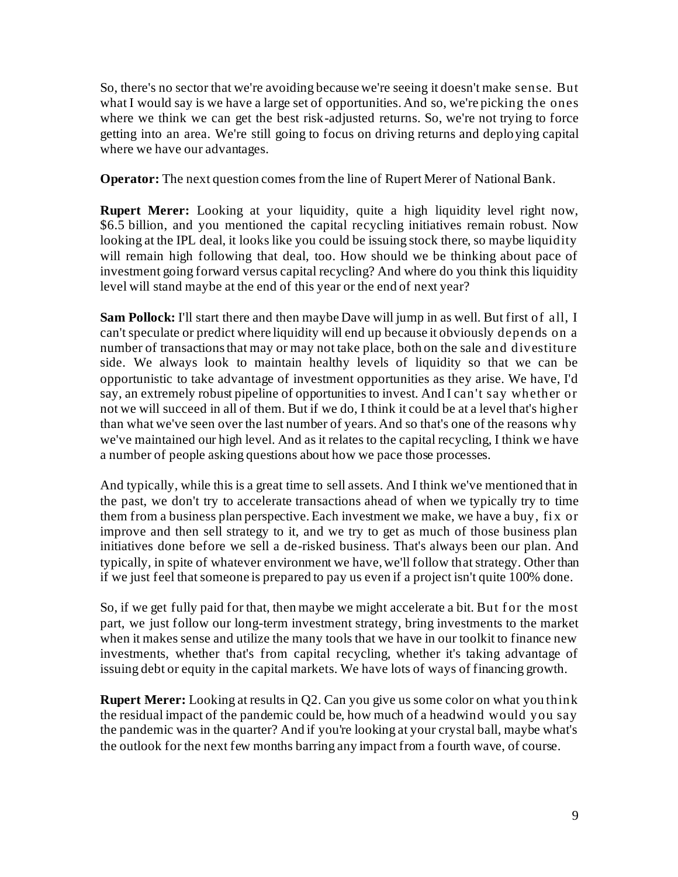So, there's no sector that we're avoiding because we're seeing it doesn't make sense. But what I would say is we have a large set of opportunities. And so, we're picking the ones where we think we can get the best risk-adjusted returns. So, we're not trying to force getting into an area. We're still going to focus on driving returns and deploying capital where we have our advantages.

**Operator:** The next question comes from the line of Rupert Merer of National Bank.

**Rupert Merer:** Looking at your liquidity, quite a high liquidity level right now, \$6.5 billion, and you mentioned the capital recycling initiatives remain robust. Now looking at the IPL deal, it looks like you could be issuing stock there, so maybe liquidity will remain high following that deal, too. How should we be thinking about pace of investment going forward versus capital recycling? And where do you think this liquidity level will stand maybe at the end of this year or the end of next year?

**Sam Pollock:** I'll start there and then maybe Dave will jump in as well. But first of all, I can't speculate or predict where liquidity will end up because it obviously depends on a number of transactions that may or may not take place, both on the sale and divestiture side. We always look to maintain healthy levels of liquidity so that we can be opportunistic to take advantage of investment opportunities as they arise. We have, I'd say, an extremely robust pipeline of opportunities to invest. And I can't say whether or not we will succeed in all of them. But if we do, I think it could be at a level that's higher than what we've seen over the last number of years. And so that's one of the reasons why we've maintained our high level. And as it relates to the capital recycling, I think we have a number of people asking questions about how we pace those processes.

And typically, while this is a great time to sell assets. And I think we've mentioned that in the past, we don't try to accelerate transactions ahead of when we typically try to time them from a business plan perspective. Each investment we make, we have a buy, fi x or improve and then sell strategy to it, and we try to get as much of those business plan initiatives done before we sell a de-risked business. That's always been our plan. And typically, in spite of whatever environment we have, we'll follow that strategy. Other than if we just feel that someone is prepared to pay us even if a project isn't quite 100% done.

So, if we get fully paid for that, then may be we might accelerate a bit. But for the most part, we just follow our long-term investment strategy, bring investments to the market when it makes sense and utilize the many tools that we have in our toolkit to finance new investments, whether that's from capital recycling, whether it's taking advantage of issuing debt or equity in the capital markets. We have lots of ways of financing growth.

**Rupert Merer:** Looking at results in Q2. Can you give us some color on what you think the residual impact of the pandemic could be, how much of a headwind would you say the pandemic was in the quarter? And if you're looking at your crystal ball, maybe what's the outlook for the next few months barring any impact from a fourth wave, of course.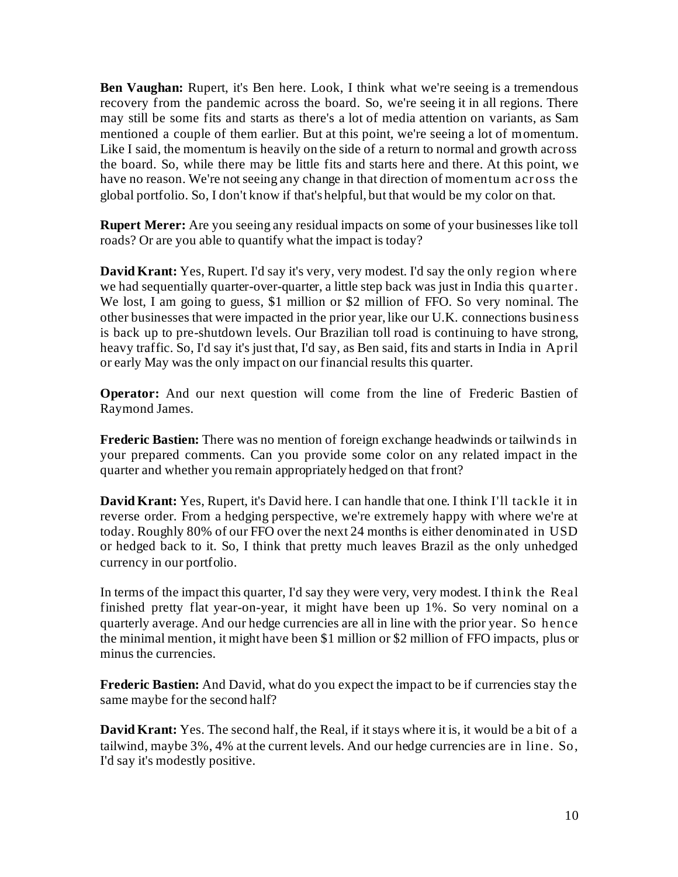**Ben Vaughan:** Rupert, it's Ben here. Look, I think what we're seeing is a tremendous recovery from the pandemic across the board. So, we're seeing it in all regions. There may still be some fits and starts as there's a lot of media attention on variants, as Sam mentioned a couple of them earlier. But at this point, we're seeing a lot of momentum. Like I said, the momentum is heavily on the side of a return to normal and growth across the board. So, while there may be little fits and starts here and there. At this point, we have no reason. We're not seeing any change in that direction of momentum acr oss the global portfolio. So, I don't know if that's helpful, but that would be my color on that.

**Rupert Merer:** Are you seeing any residual impacts on some of your businesses like toll roads? Or are you able to quantify what the impact is today?

**David Krant:** Yes, Rupert. I'd say it's very, very modest. I'd say the only region where we had sequentially quarter-over-quarter, a little step back was just in India this quarter. We lost, I am going to guess, \$1 million or \$2 million of FFO. So very nominal. The other businesses that were impacted in the prior year, like our U.K. connections business is back up to pre-shutdown levels. Our Brazilian toll road is continuing to have strong, heavy traffic. So, I'd say it's just that, I'd say, as Ben said, fits and starts in India in April or early May was the only impact on our financial results this quarter.

**Operator:** And our next question will come from the line of Frederic Bastien of Raymond James.

**Frederic Bastien:** There was no mention of foreign exchange headwinds or tailwinds in your prepared comments. Can you provide some color on any related impact in the quarter and whether you remain appropriately hedged on that front?

**David Krant:** Yes, Rupert, it's David here. I can handle that one. I think I'll tackle it in reverse order. From a hedging perspective, we're extremely happy with where we're at today. Roughly 80% of our FFO over the next 24 months is either denominated in USD or hedged back to it. So, I think that pretty much leaves Brazil as the only unhedged currency in our portfolio.

In terms of the impact this quarter, I'd say they were very, very modest. I think the Real finished pretty flat year-on-year, it might have been up 1%. So very nominal on a quarterly average. And our hedge currencies are all in line with the prior year. So hence the minimal mention, it might have been \$1 million or \$2 million of FFO impacts, plus or minus the currencies.

**Frederic Bastien:** And David, what do you expect the impact to be if currencies stay the same maybe for the second half?

**David Krant:** Yes. The second half, the Real, if it stays where it is, it would be a bit of a tailwind, maybe 3%, 4% at the current levels. And our hedge currencies are in line. So, I'd say it's modestly positive.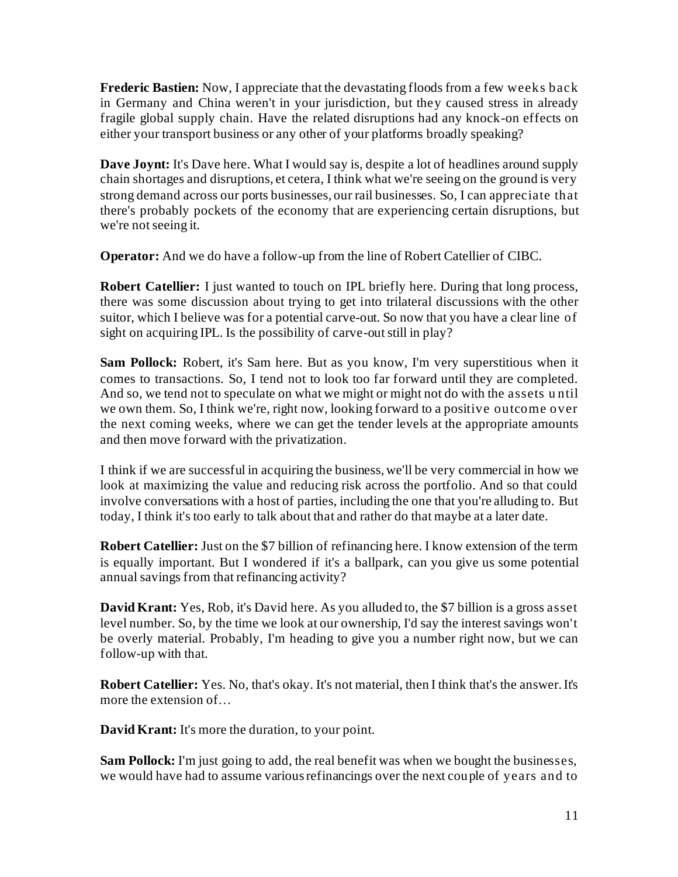**Frederic Bastien:** Now, I appreciate that the devastating floods from a few weeks back in Germany and China weren't in your jurisdiction, but they caused stress in already fragile global supply chain. Have the related disruptions had any knock-on effects on either your transport business or any other of your platforms broadly speaking?

**Dave Joynt:** It's Dave here. What I would say is, despite a lot of headlines around supply chain shortages and disruptions, et cetera, I think what we're seeing on the ground is very strong demand across our ports businesses, our rail businesses. So, I can appreciate that there's probably pockets of the economy that are experiencing certain disruptions, but we're not seeing it.

**Operator:** And we do have a follow-up from the line of Robert Catellier of CIBC.

**Robert Catellier:** I just wanted to touch on IPL briefly here. During that long process, there was some discussion about trying to get into trilateral discussions with the other suitor, which I believe was for a potential carve-out. So now that you have a clear line of sight on acquiring IPL. Is the possibility of carve-out still in play?

**Sam Pollock:** Robert, it's Sam here. But as you know, I'm very superstitious when it comes to transactions. So, I tend not to look too far forward until they are completed. And so, we tend not to speculate on what we might or might not do with the assets u ntil we own them. So, I think we're, right now, looking forward to a positive outcome over the next coming weeks, where we can get the tender levels at the appropriate amounts and then move forward with the privatization.

I think if we are successful in acquiring the business, we'll be very commercial in how we look at maximizing the value and reducing risk across the portfolio. And so that could involve conversations with a host of parties, including the one that you're alluding to. But today, I think it's too early to talk about that and rather do that maybe at a later date.

**Robert Catellier:** Just on the \$7 billion of refinancing here. I know extension of the term is equally important. But I wondered if it's a ballpark, can you give us some potential annual savings from that refinancing activity?

**David Krant:** Yes, Rob, it's David here. As you alluded to, the \$7 billion is a gross asset level number. So, by the time we look at our ownership, I'd say the interest savings won't be overly material. Probably, I'm heading to give you a number right now, but we can follow-up with that.

**Robert Catellier:** Yes. No, that's okay. It's not material, then I think that's the answer. It's more the extension of…

**David Krant:** It's more the duration, to your point.

**Sam Pollock:** I'm just going to add, the real benefit was when we bought the businesses, we would have had to assume various refinancings over the next couple of years and to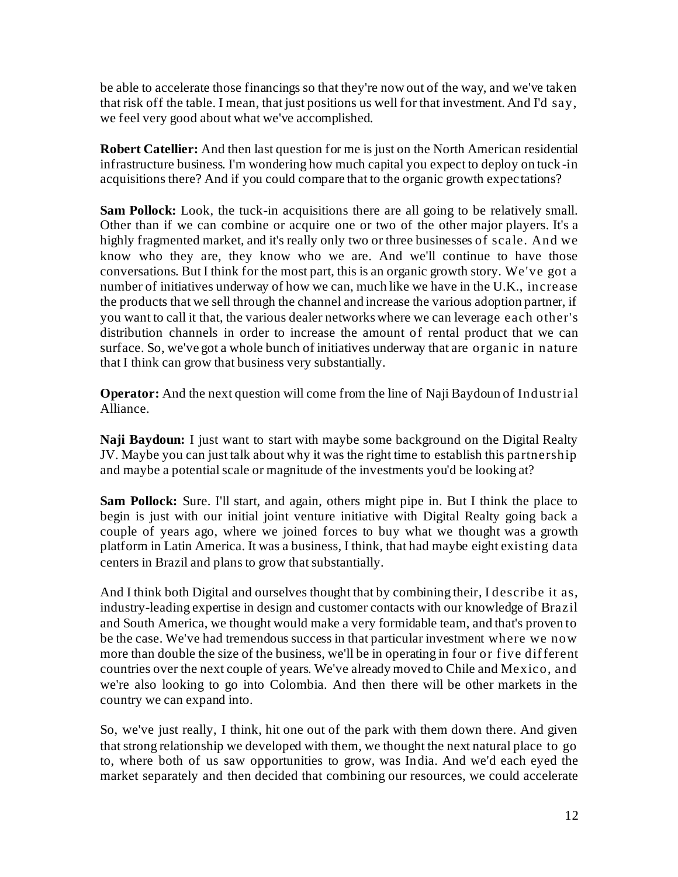be able to accelerate those financings so that they're now out of the way, and we've taken that risk off the table. I mean, that just positions us well for that investment. And I'd say, we feel very good about what we've accomplished.

**Robert Catellier:** And then last question for me is just on the North American residential infrastructure business. I'm wondering how much capital you expect to deploy on tuck-in acquisitions there? And if you could compare that to the organic growth expectations?

**Sam Pollock:** Look, the tuck-in acquisitions there are all going to be relatively small. Other than if we can combine or acquire one or two of the other major players. It's a highly fragmented market, and it's really only two or three businesses of scale. And we know who they are, they know who we are. And we'll continue to have those conversations. But I think for the most part, this is an organic growth story. We've got a number of initiatives underway of how we can, much like we have in the U.K., increase the products that we sell through the channel and increase the various adoption partner, if you want to call it that, the various dealer networks where we can leverage each other's distribution channels in order to increase the amount of rental product that we can surface. So, we've got a whole bunch of initiatives underway that are organic in nature that I think can grow that business very substantially.

**Operator:** And the next question will come from the line of Naji Baydoun of Industrial Alliance.

**Naji Baydoun:** I just want to start with maybe some background on the Digital Realty JV. Maybe you can just talk about why it was the right time to establish this partnership and maybe a potential scale or magnitude of the investments you'd be looking at?

**Sam Pollock:** Sure. I'll start, and again, others might pipe in. But I think the place to begin is just with our initial joint venture initiative with Digital Realty going back a couple of years ago, where we joined forces to buy what we thought was a growth platform in Latin America. It was a business, I think, that had maybe eight existing data centers in Brazil and plans to grow that substantially.

And I think both Digital and ourselves thought that by combining their, I describe it as, industry-leading expertise in design and customer contacts with our knowledge of Brazil and South America, we thought would make a very formidable team, and that's proven to be the case. We've had tremendous success in that particular investment where we now more than double the size of the business, we'll be in operating in four or five different countries over the next couple of years. We've already moved to Chile and Mexico, and we're also looking to go into Colombia. And then there will be other markets in the country we can expand into.

So, we've just really, I think, hit one out of the park with them down there. And given that strong relationship we developed with them, we thought the next natural place to go to, where both of us saw opportunities to grow, was India. And we'd each eyed the market separately and then decided that combining our resources, we could accelerate